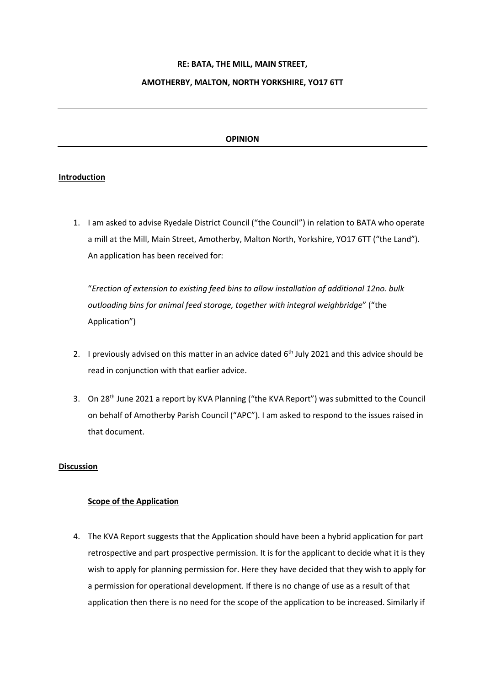### **RE: BATA, THE MILL, MAIN STREET,**

# **AMOTHERBY, MALTON, NORTH YORKSHIRE, YO17 6TT**

#### **OPINION**

# **Introduction**

1. I am asked to advise Ryedale District Council ("the Council") in relation to BATA who operate a mill at the Mill, Main Street, Amotherby, Malton North, Yorkshire, YO17 6TT ("the Land"). An application has been received for:

"*Erection of extension to existing feed bins to allow installation of additional 12no. bulk outloading bins for animal feed storage, together with integral weighbridge*" ("the Application")

- 2. I previously advised on this matter in an advice dated  $6<sup>th</sup>$  July 2021 and this advice should be read in conjunction with that earlier advice.
- 3. On 28<sup>th</sup> June 2021 a report by KVA Planning ("the KVA Report") was submitted to the Council on behalf of Amotherby Parish Council ("APC"). I am asked to respond to the issues raised in that document.

#### **Discussion**

### **Scope of the Application**

4. The KVA Report suggests that the Application should have been a hybrid application for part retrospective and part prospective permission. It is for the applicant to decide what it is they wish to apply for planning permission for. Here they have decided that they wish to apply for a permission for operational development. If there is no change of use as a result of that application then there is no need for the scope of the application to be increased. Similarly if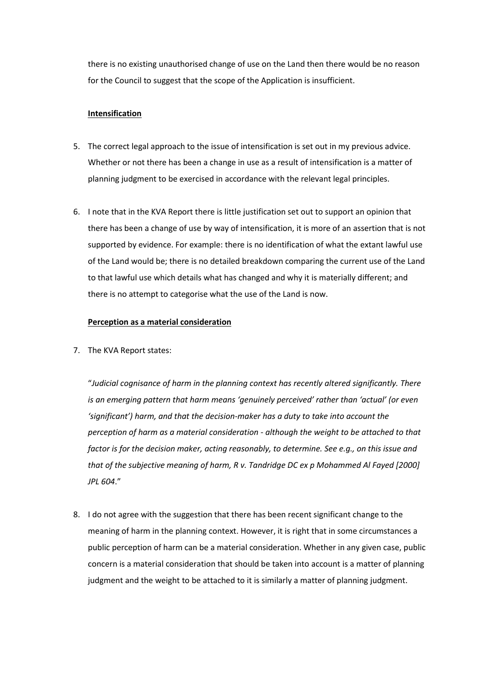there is no existing unauthorised change of use on the Land then there would be no reason for the Council to suggest that the scope of the Application is insufficient.

# **Intensification**

- 5. The correct legal approach to the issue of intensification is set out in my previous advice. Whether or not there has been a change in use as a result of intensification is a matter of planning judgment to be exercised in accordance with the relevant legal principles.
- 6. I note that in the KVA Report there is little justification set out to support an opinion that there has been a change of use by way of intensification, it is more of an assertion that is not supported by evidence. For example: there is no identification of what the extant lawful use of the Land would be; there is no detailed breakdown comparing the current use of the Land to that lawful use which details what has changed and why it is materially different; and there is no attempt to categorise what the use of the Land is now.

### **Perception as a material consideration**

7. The KVA Report states:

"*Judicial cognisance of harm in the planning context has recently altered significantly. There is an emerging pattern that harm means 'genuinely perceived' rather than 'actual' (or even 'significant') harm, and that the decision-maker has a duty to take into account the perception of harm as a material consideration - although the weight to be attached to that factor is for the decision maker, acting reasonably, to determine. See e.g., on this issue and that of the subjective meaning of harm, R v. Tandridge DC ex p Mohammed Al Fayed [2000] JPL 604*."

8. I do not agree with the suggestion that there has been recent significant change to the meaning of harm in the planning context. However, it is right that in some circumstances a public perception of harm can be a material consideration. Whether in any given case, public concern is a material consideration that should be taken into account is a matter of planning judgment and the weight to be attached to it is similarly a matter of planning judgment.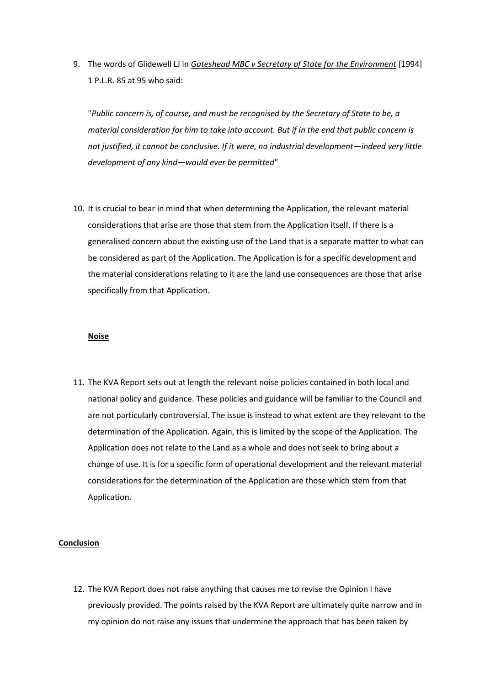9. The words of Glidewell LJ in *Gateshead MBC v Secretary of State for the Environment* [1994] 1 P.L.R. 85 at 95 who said:

"*Public concern is, of course, and must be recognised by the Secretary of State to be, a material consideration for him to take into account. But if in the end that public concern is not justified, it cannot be conclusive. If it were, no industrial development—indeed very little development of any kind—would ever be permitted*"

10. It is crucial to bear in mind that when determining the Application, the relevant material considerations that arise are those that stem from the Application itself. If there is a generalised concern about the existing use of the Land that is a separate matter to what can be considered as part of the Application. The Application is for a specific development and the material considerations relating to it are the land use consequences are those that arise specifically from that Application.

#### **Noise**

11. The KVA Report sets out at length the relevant noise policies contained in both local and national policy and guidance. These policies and guidance will be familiar to the Council and are not particularly controversial. The issue is instead to what extent are they relevant to the determination of the Application. Again, this is limited by the scope of the Application. The Application does not relate to the Land as a whole and does not seek to bring about a change of use. It is for a specific form of operational development and the relevant material considerations for the determination of the Application are those which stem from that Application.

### **Conclusion**

12. The KVA Report does not raise anything that causes me to revise the Opinion I have previously provided. The points raised by the KVA Report are ultimately quite narrow and in my opinion do not raise any issues that undermine the approach that has been taken by